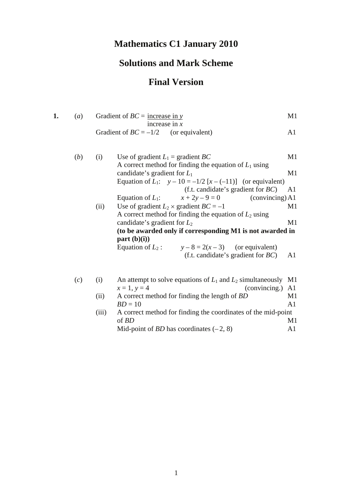# **Mathematics C1 January 2010**

## **Solutions and Mark Scheme**

### **Final Version**

| 1. | (a) |      | Gradient of $BC =$ increase in y<br>increase in $x$                                             | M1             |
|----|-----|------|-------------------------------------------------------------------------------------------------|----------------|
|    |     |      | Gradient of $BC = -1/2$ (or equivalent)                                                         | A1             |
|    | (b) | (i)  | Use of gradient $L_1$ = gradient BC<br>A correct method for finding the equation of $L_1$ using | M1             |
|    |     |      | candidate's gradient for $L_1$                                                                  | M1             |
|    |     |      | Equation of $L_1$ : $y - 10 = -1/2 [x - (-11)]$ (or equivalent)                                 |                |
|    |     |      | (f.t. candidate's gradient for $BC$ )                                                           | A <sub>1</sub> |
|    |     |      | Equation of $L_1$ : $x + 2y - 9 = 0$<br>(conving) A1                                            |                |
|    |     | (ii) | Use of gradient $L_2 \times$ gradient $BC = -1$                                                 | M1             |
|    |     |      | A correct method for finding the equation of $L_2$ using                                        |                |
|    |     |      | candidate's gradient for $L_2$                                                                  | M1             |
|    |     |      | (to be awarded only if corresponding M1 is not awarded in<br>part (b)(i))                       |                |
|    |     |      | Equation of $L_2$ : $y-8=2(x-3)$ (or equivalent)                                                |                |
|    |     |      | (f.t. candidate's gradient for $BC$ )                                                           | A1             |
|    | (c) | (i)  | An attempt to solve equations of $L_1$ and $L_2$ simultaneously M1                              |                |
|    |     |      | (convincing.)<br>$x = 1, y = 4$                                                                 | A1             |
|    |     | (ii) | A correct method for finding the length of BD<br>$BD = 10$                                      | M1<br>A1       |
|    |     |      | $\sim$ $\sim$ $\sim$ $\sim$ $\sim$ $\sim$ $\sim$ $\sim$                                         |                |

(iii) A correct method for finding the coordinates of the mid-point of  $BD$ of *BD* M1 Mid-point of *BD* has coordinates  $(-2, 8)$  A1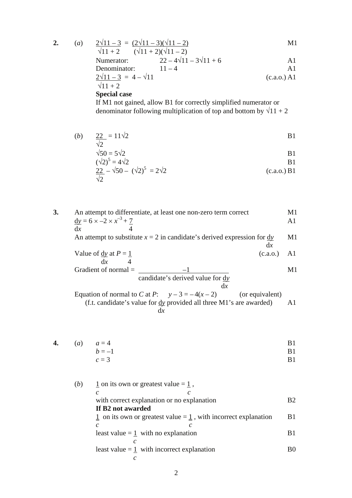$$
2. \qquad \qquad
$$

2. (a) 
$$
\frac{2\sqrt{11-3}}{\sqrt{11+2}} = \frac{(2\sqrt{11}-3)(\sqrt{11}-2)}{(\sqrt{11}+2)(\sqrt{11}-2)}
$$
 M1

| Number of the 2 | 4                                  | 4  | 4 |
|-----------------|------------------------------------|----|---|
| Numberator:     | $22 - 4\sqrt{11} - 3\sqrt{11} + 6$ | A1 |   |
| Denominator:    | $11 - 4$                           | A1 |   |

$$
\frac{2\sqrt{11 - 3}}{\sqrt{11 + 2}} = 4 - \sqrt{11}
$$
 (c.a.o.) A1

#### **Special case**

If M1 not gained, allow B1 for correctly simplified numerator or denominator following multiplication of top and bottom by  $\sqrt{11} + 2$ 

(*b*)  $22 = 11\sqrt{2}$  B1  $\sqrt{2}$ 

$$
\sqrt{50} = 5\sqrt{2}
$$
  
\n
$$
(\sqrt{2})^5 = 4\sqrt{2}
$$
  
\nB1

$$
\frac{(1)(2)}{22} - \sqrt{50} - (\sqrt{2})^5 = 2\sqrt{2}
$$
\n(c.a.o.) B1

**3.** An attempt to differentiate, at least one non-zero term correct M1  $\underline{dy} = 6 \times -2 \times x$  $-3 + 7$  A1

$$
4
$$
 An attempt to substitute  $x = 2$  in candidate's derived expression for  $\frac{dy}{dx}$ 

Value of 
$$
\frac{dy}{dx}
$$
 at  $P = \frac{1}{4}$  (c.a.o.) A1

Gradient of normal = 
$$
\frac{-1}{\text{candidate's derived value for } \frac{dy}{dx}}
$$

Equation of normal to *C* at *P*:  $y-3=-4(x-2)$  (or equivalent) (f.t. candidate's value for d*y* provided all three M1's are awarded) A1 d*x*

**4.** (a) 
$$
a = 4
$$
 B1  
 $b = -1$  B1

$$
c = 3
$$

(*b*)  $1$  on its own or greatest value =  $1/2$ , *c c* with correct explanation or no explanation B2 **If B2 not awarded**   $\frac{1}{2}$  on its own or greatest value =  $\frac{1}{2}$ , with incorrect explanation B1 *c c* least value  $=$  1 with no explanation B1  *c* least value  $=$  1 with incorrect explanation B0  *c*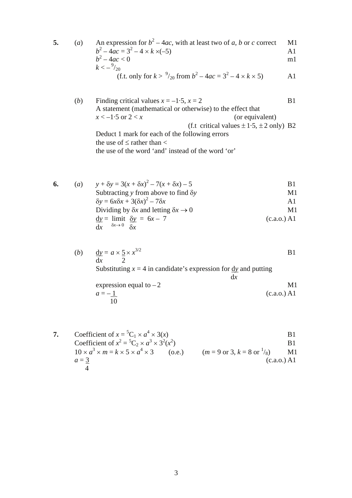5. (a) An expression for 
$$
b^2 - 4ac
$$
, with at least two of *a*, *b* or *c* correct M1  
\n $b^2 - 4ac = 3^2 - 4 \times k \times (-5)$   
\n $b^2 - 4ac < 0$   
\n $k < -\frac{9}{20}$   
\n(f.t. only for  $k > \frac{9}{20}$  from  $b^2 - 4ac = 3^2 - 4 \times k \times 5$ ) A1

(*b*) Finding critical values  $x = -1.5$ ,  $x = 2$  B1 A statement (mathematical or otherwise) to the effect that  $x < -1.5$  or  $2 < x$  (or equivalent) (f.t critical values  $\pm 1.5$ ,  $\pm 2$  only) B2 Deduct 1 mark for each of the following errors the use of  $\leq$  rather than  $\lt$ the use of the word 'and' instead of the word 'or'

| 6. | (a) | $y + \delta y = 3(x + \delta x)^2 - 7(x + \delta x) - 5$    | B1             |
|----|-----|-------------------------------------------------------------|----------------|
|    |     | Subtracting y from above to find $\delta y$                 | M1             |
|    |     | $\delta y = 6x\delta x + 3(\delta x)^2 - 7\delta x$         | A <sub>1</sub> |
|    |     | Dividing by $\delta x$ and letting $\delta x \rightarrow 0$ | M1             |
|    |     | $\frac{dy}{dx} = \lim_{x \to 0} \frac{dy}{dx} = 6x - 7$     | (c.a.o.) A1    |
|    |     | $\delta x \rightarrow 0$ $\delta x$<br>dx                   |                |

(*b*)  $\underline{dy} = a \times \underline{5} \times x$  $3/2$  B1 d*x* 2 Substituting  $x = 4$  in candidate's expression for  $\frac{dy}{dx}$  and putting d*x* expression equal to  $-2$  M1  $a = -1$  (c.a.o.) A1

7. Coefficient of 
$$
x = {}^{5}C_{1} \times a^{4} \times 3(x)
$$
  
\nCoefficient of  $x^{2} = {}^{5}C_{2} \times a^{3} \times 3^{2}(x^{2})$   
\n $10 \times a^{3} \times m = k \times 5 \times a^{4} \times 3$  (o.e.)  
\n $a = \frac{3}{4}$   
\n81  
\n(a.0,0)

 $\overline{10}$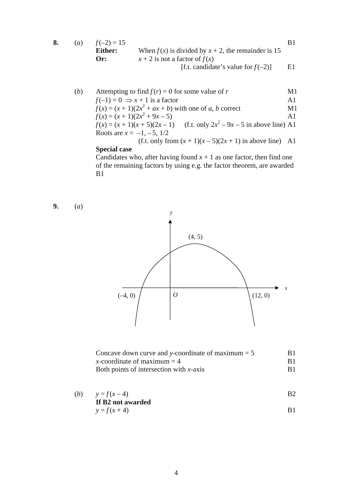| $\left( a\right)$ | $f(-2) = 15$ |                                                         |    |
|-------------------|--------------|---------------------------------------------------------|----|
|                   | Either:      | When $f(x)$ is divided by $x + 2$ , the remainder is 15 |    |
|                   | $Or$ :       | $x + 2$ is not a factor of $f(x)$                       |    |
|                   |              | [f.t. candidate's value for $f(-2)$ ]                   | E1 |

| (b) | Attempting to find $f(r) = 0$ for some value of r                               | M1             |
|-----|---------------------------------------------------------------------------------|----------------|
|     | $f(-1) = 0 \Rightarrow x + 1$ is a factor                                       | $\mathbf{A}1$  |
|     | $f(x) = (x + 1)(2x2 + ax + b)$ with one of a, b correct                         | M1             |
|     | $f(x) = (x + 1)(2x^2 + 9x - 5)$                                                 | A <sub>1</sub> |
|     | (f.t. only $2x^2 - 9x - 5$ in above line) A1<br>$f(x) = (x + 1)(x + 5)(2x - 1)$ |                |
|     | Roots are $x = -1, -5, 1/2$                                                     |                |
|     | (f.t. only from $(x + 1)(x - 5)(2x + 1)$ in above line) A1                      |                |

#### **Special case**

Candidates who, after having found  $x + 1$  as one factor, then find one of the remaining factors by using e.g. the factor theorem, are awarded B1

**9.** (*a*)



| Concave down curve and y-coordinate of maximum $= 5$ | B1. |
|------------------------------------------------------|-----|
| x-coordinate of maximum $=$ 4                        | B1  |
| Both points of intersection with $x$ -axis           |     |

(b) 
$$
y = f(x-4)
$$
  
\nIf B2 not awarded

$$
y = f(x + 4)
$$
 B1